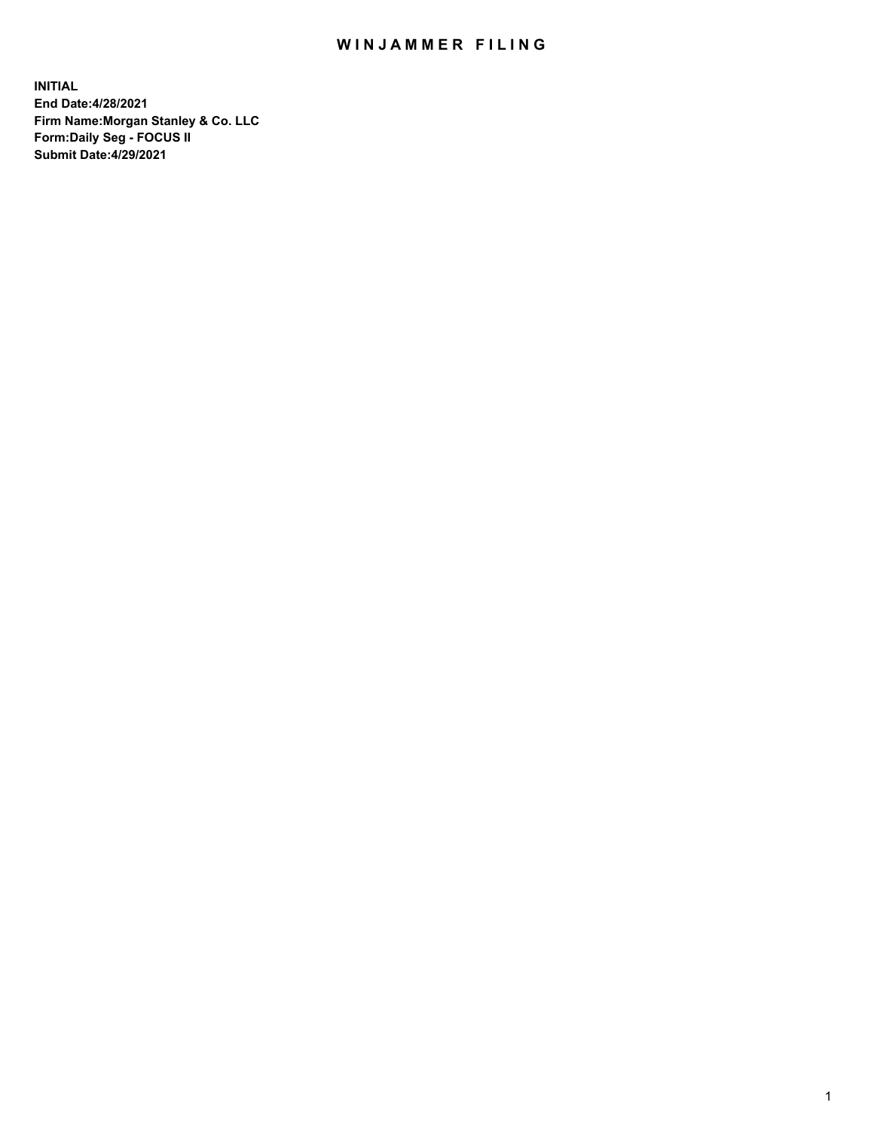## WIN JAMMER FILING

**INITIAL End Date:4/28/2021 Firm Name:Morgan Stanley & Co. LLC Form:Daily Seg - FOCUS II Submit Date:4/29/2021**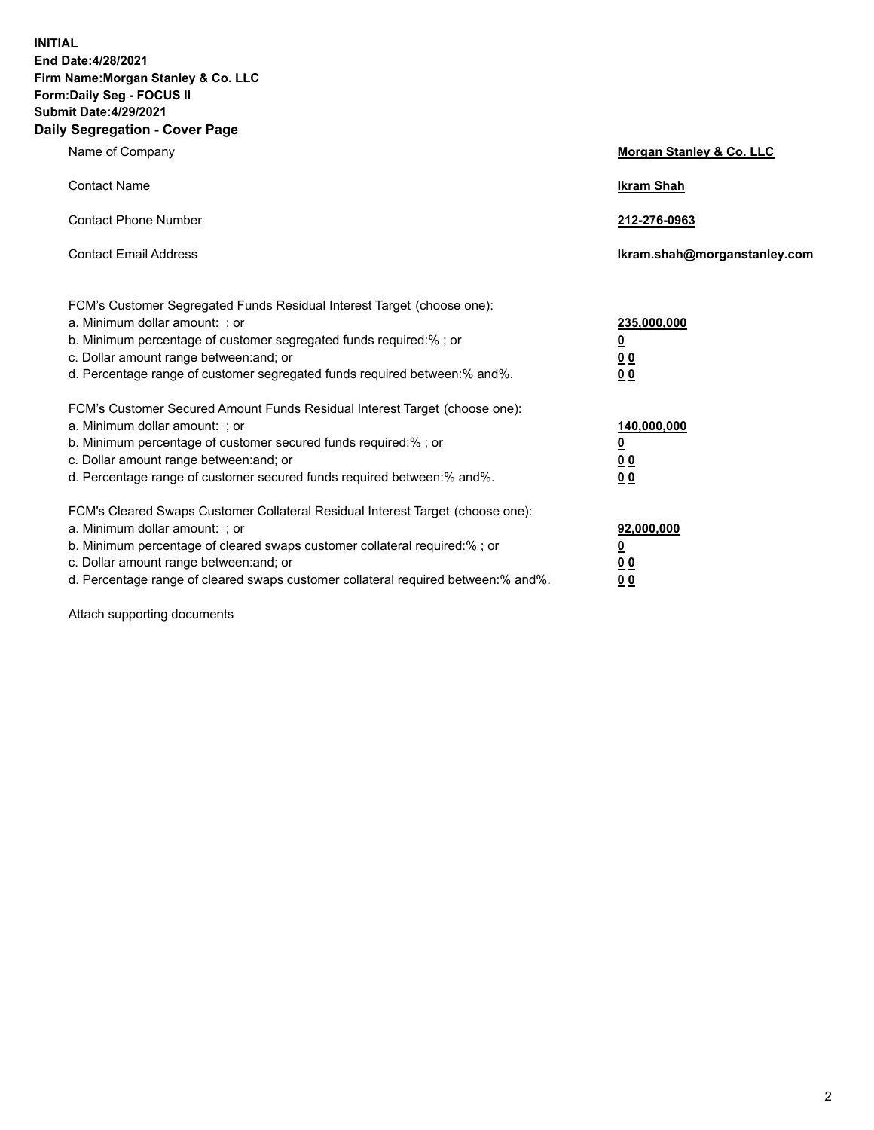**INITIAL End Date:4/28/2021 Firm Name:Morgan Stanley & Co. LLC Form:Daily Seg - FOCUS II Submit Date:4/29/2021 Daily Segregation - Cover Page**

| Name of Company                                                                                                                                                                                                                                                                                                                | Morgan Stanley & Co. LLC                                    |
|--------------------------------------------------------------------------------------------------------------------------------------------------------------------------------------------------------------------------------------------------------------------------------------------------------------------------------|-------------------------------------------------------------|
| <b>Contact Name</b>                                                                                                                                                                                                                                                                                                            | <b>Ikram Shah</b>                                           |
| <b>Contact Phone Number</b>                                                                                                                                                                                                                                                                                                    | 212-276-0963                                                |
| <b>Contact Email Address</b>                                                                                                                                                                                                                                                                                                   | Ikram.shah@morganstanley.com                                |
| FCM's Customer Segregated Funds Residual Interest Target (choose one):<br>a. Minimum dollar amount: ; or<br>b. Minimum percentage of customer segregated funds required:% ; or<br>c. Dollar amount range between: and; or<br>d. Percentage range of customer segregated funds required between:% and%.                         | 235,000,000<br><u>0</u><br><u>00</u><br>00                  |
| FCM's Customer Secured Amount Funds Residual Interest Target (choose one):<br>a. Minimum dollar amount: ; or<br>b. Minimum percentage of customer secured funds required:%; or<br>c. Dollar amount range between: and; or<br>d. Percentage range of customer secured funds required between: % and %.                          | 140,000,000<br><u>0</u><br>0 <sub>0</sub><br>0 <sub>0</sub> |
| FCM's Cleared Swaps Customer Collateral Residual Interest Target (choose one):<br>a. Minimum dollar amount: ; or<br>b. Minimum percentage of cleared swaps customer collateral required:% ; or<br>c. Dollar amount range between: and; or<br>d. Percentage range of cleared swaps customer collateral required between:% and%. | 92,000,000<br><u>0</u><br><u>00</u><br>00                   |

Attach supporting documents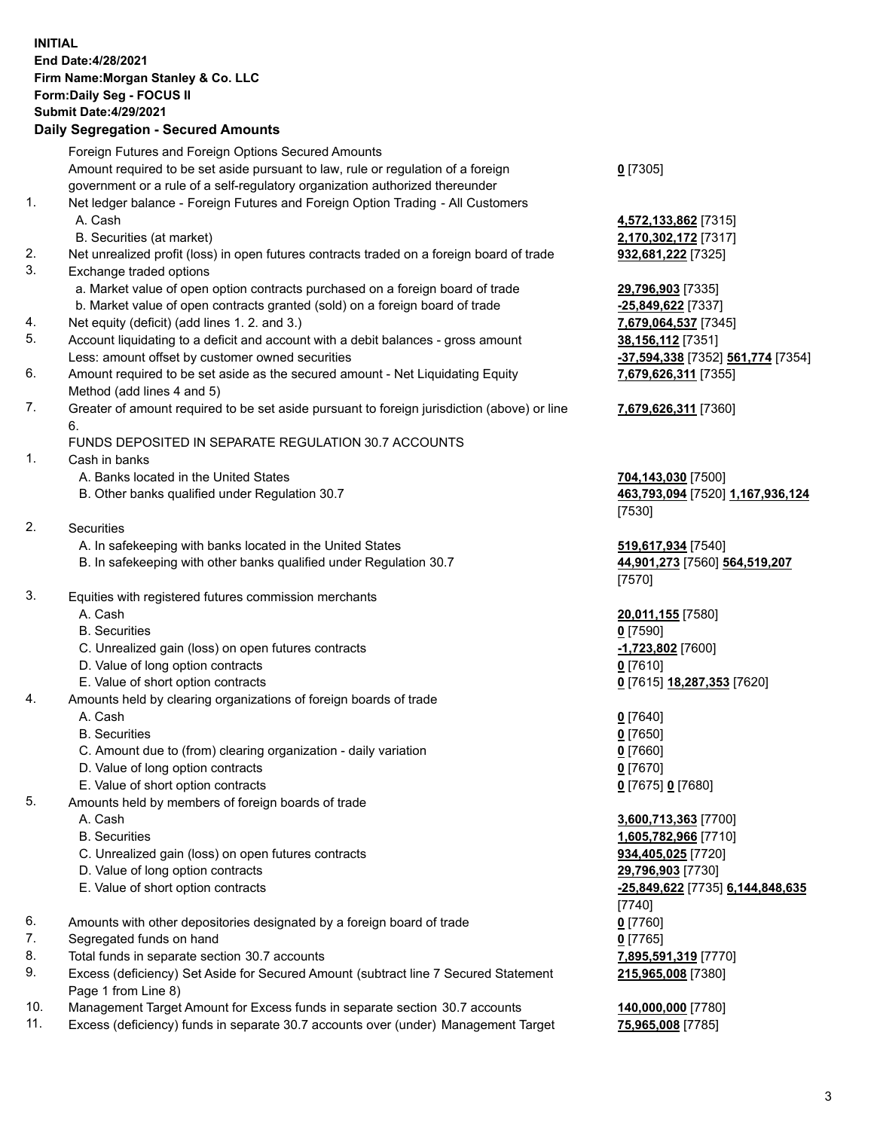## **INITIAL End Date:4/28/2021 Firm Name:Morgan Stanley & Co. LLC Form:Daily Seg - FOCUS II Submit Date:4/29/2021**

## **Daily Segregation - Secured Amounts**

|    | Foreign Futures and Foreign Options Secured Amounts                                               |                                   |
|----|---------------------------------------------------------------------------------------------------|-----------------------------------|
|    | Amount required to be set aside pursuant to law, rule or regulation of a foreign                  | $0$ [7305]                        |
|    | government or a rule of a self-regulatory organization authorized thereunder                      |                                   |
| 1. | Net ledger balance - Foreign Futures and Foreign Option Trading - All Customers                   |                                   |
|    | A. Cash                                                                                           | 4,572,133,862 [7315]              |
|    | B. Securities (at market)                                                                         | 2,170,302,172 [7317]              |
| 2. | Net unrealized profit (loss) in open futures contracts traded on a foreign board of trade         | 932,681,222 [7325]                |
| 3. | Exchange traded options                                                                           |                                   |
|    | a. Market value of open option contracts purchased on a foreign board of trade                    | 29,796,903 [7335]                 |
|    | b. Market value of open contracts granted (sold) on a foreign board of trade                      | -25,849,622 [7337]                |
| 4. | Net equity (deficit) (add lines 1.2. and 3.)                                                      | 7,679,064,537 [7345]              |
| 5. | Account liquidating to a deficit and account with a debit balances - gross amount                 | 38,156,112 [7351]                 |
|    | Less: amount offset by customer owned securities                                                  | -37,594,338 [7352] 561,774 [7354] |
| 6. | Amount required to be set aside as the secured amount - Net Liquidating Equity                    | 7,679,626,311 [7355]              |
|    | Method (add lines 4 and 5)                                                                        |                                   |
| 7. | Greater of amount required to be set aside pursuant to foreign jurisdiction (above) or line<br>6. | 7,679,626,311 [7360]              |
|    | FUNDS DEPOSITED IN SEPARATE REGULATION 30.7 ACCOUNTS                                              |                                   |
| 1. | Cash in banks                                                                                     |                                   |
|    | A. Banks located in the United States                                                             | 704,143,030 [7500]                |
|    | B. Other banks qualified under Regulation 30.7                                                    | 463,793,094 [7520] 1,167,936,124  |
|    |                                                                                                   | [7530]                            |
| 2. | Securities                                                                                        |                                   |
|    | A. In safekeeping with banks located in the United States                                         | 519,617,934 [7540]                |
|    | B. In safekeeping with other banks qualified under Regulation 30.7                                | 44,901,273 [7560] 564,519,207     |
|    |                                                                                                   | $[7570]$                          |
| 3. | Equities with registered futures commission merchants                                             |                                   |
|    | A. Cash                                                                                           | 20,011,155 [7580]                 |
|    | <b>B.</b> Securities                                                                              | $0$ [7590]                        |
|    | C. Unrealized gain (loss) on open futures contracts                                               | -1,723,802 [7600]                 |
|    | D. Value of long option contracts                                                                 | $0$ [7610]                        |
|    | E. Value of short option contracts                                                                | 0 [7615] 18,287,353 [7620]        |
| 4. | Amounts held by clearing organizations of foreign boards of trade                                 |                                   |
|    | A. Cash                                                                                           | $0$ [7640]                        |
|    | <b>B.</b> Securities                                                                              | $0$ [7650]                        |
|    | C. Amount due to (from) clearing organization - daily variation                                   | $0$ [7660]                        |
|    | D. Value of long option contracts                                                                 | $0$ [7670]                        |
|    | E. Value of short option contracts                                                                | 0 [7675] 0 [7680]                 |
| 5. | Amounts held by members of foreign boards of trade                                                |                                   |
|    | A. Cash                                                                                           | 3,600,713,363 [7700]              |
|    | <b>B.</b> Securities                                                                              | 1,605,782,966 [7710]              |
|    | C. Unrealized gain (loss) on open futures contracts                                               | 934,405,025 [7720]                |
|    | D. Value of long option contracts                                                                 | 29,796,903 [7730]                 |
|    | E. Value of short option contracts                                                                | -25,849,622 [7735] 6,144,848,635  |
|    |                                                                                                   | [7740]                            |
| 6. | Amounts with other depositories designated by a foreign board of trade                            | $0$ [7760]                        |
| 7. | Segregated funds on hand                                                                          | $0$ [7765]                        |
| 8. | Total funds in separate section 30.7 accounts                                                     | 7,895,591,319 [7770]              |
| 9. | Excess (deficiency) Set Aside for Secured Amount (subtract line 7 Secured Statement               | 215,965,008 [7380]                |
|    | Page 1 from Line 8)                                                                               |                                   |

- 10. Management Target Amount for Excess funds in separate section 30.7 accounts **140,000,000** [7780]
- 11. Excess (deficiency) funds in separate 30.7 accounts over (under) Management Target **75,965,008** [7785]

3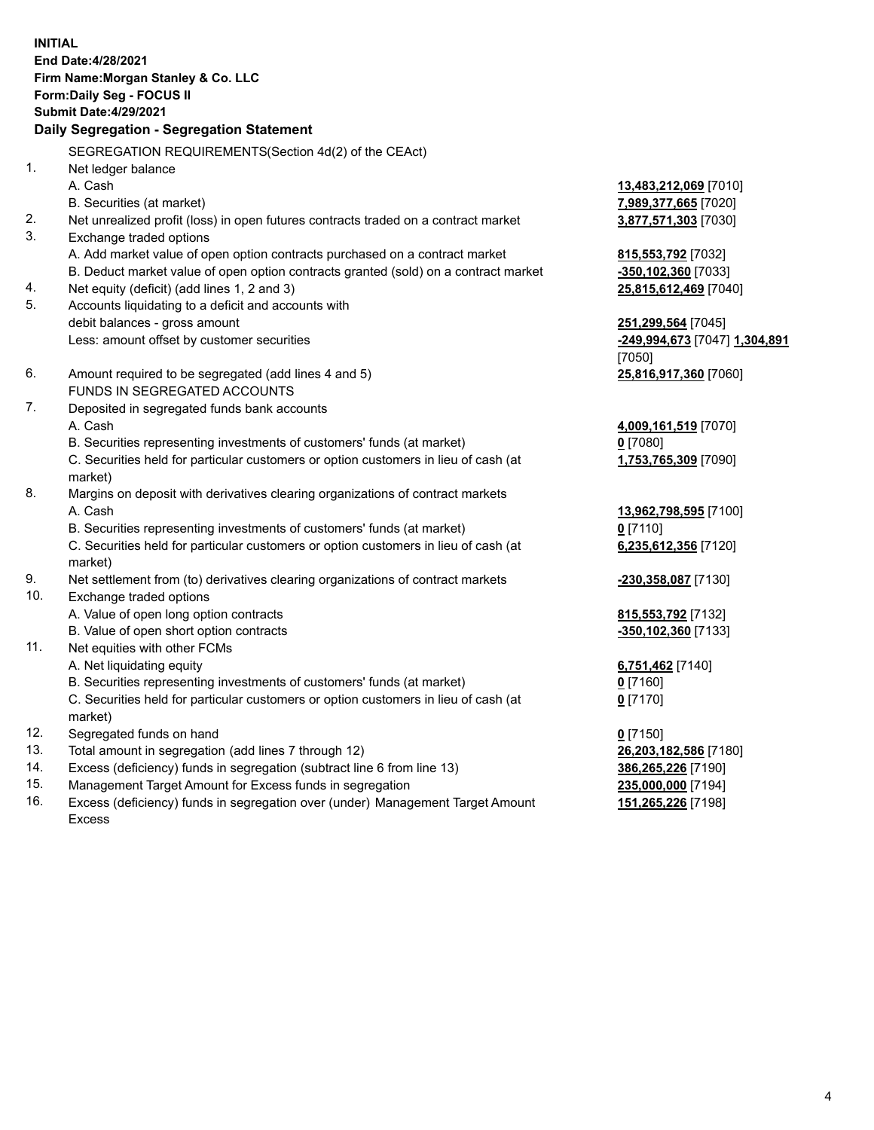**INITIAL End Date:4/28/2021 Firm Name:Morgan Stanley & Co. LLC Form:Daily Seg - FOCUS II Submit Date:4/29/2021 Daily Segregation - Segregation Statement** SEGREGATION REQUIREMENTS(Section 4d(2) of the CEAct) 1. Net ledger balance A. Cash **13,483,212,069** [7010] B. Securities (at market) **7,989,377,665** [7020] 2. Net unrealized profit (loss) in open futures contracts traded on a contract market **3,877,571,303** [7030] 3. Exchange traded options A. Add market value of open option contracts purchased on a contract market **815,553,792** [7032] B. Deduct market value of open option contracts granted (sold) on a contract market **-350,102,360** [7033] 4. Net equity (deficit) (add lines 1, 2 and 3) **25,815,612,469** [7040] 5. Accounts liquidating to a deficit and accounts with debit balances - gross amount **251,299,564** [7045] Less: amount offset by customer securities **-249,994,673** [7047] **1,304,891** [7050] 6. Amount required to be segregated (add lines 4 and 5) **25,816,917,360** [7060] FUNDS IN SEGREGATED ACCOUNTS 7. Deposited in segregated funds bank accounts A. Cash **4,009,161,519** [7070] B. Securities representing investments of customers' funds (at market) **0** [7080] C. Securities held for particular customers or option customers in lieu of cash (at market) **1,753,765,309** [7090] 8. Margins on deposit with derivatives clearing organizations of contract markets A. Cash **13,962,798,595** [7100] B. Securities representing investments of customers' funds (at market) **0** [7110] C. Securities held for particular customers or option customers in lieu of cash (at market) **6,235,612,356** [7120] 9. Net settlement from (to) derivatives clearing organizations of contract markets **-230,358,087** [7130] 10. Exchange traded options A. Value of open long option contracts **815,553,792** [7132] B. Value of open short option contracts **-350,102,360** [7133] 11. Net equities with other FCMs A. Net liquidating equity **6,751,462** [7140] B. Securities representing investments of customers' funds (at market) **0** [7160] C. Securities held for particular customers or option customers in lieu of cash (at market) **0** [7170] 12. Segregated funds on hand **0** [7150] 13. Total amount in segregation (add lines 7 through 12) **26,203,182,586** [7180] 14. Excess (deficiency) funds in segregation (subtract line 6 from line 13) **386,265,226** [7190] 15. Management Target Amount for Excess funds in segregation **235,000,000** [7194]

16. Excess (deficiency) funds in segregation over (under) Management Target Amount Excess

**151,265,226** [7198]